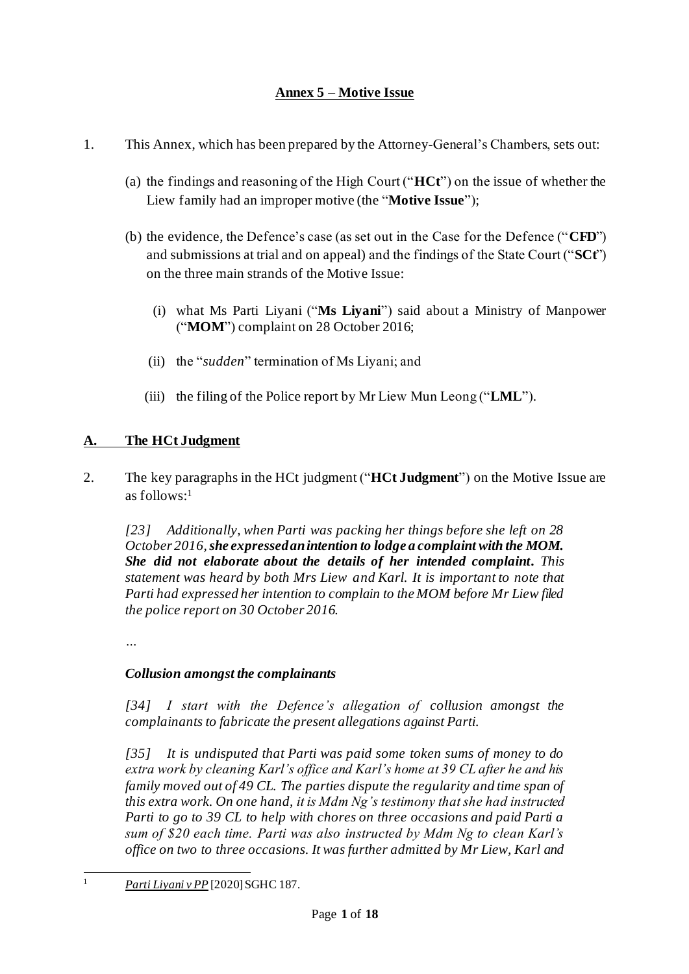# **Annex 5 – Motive Issue**

- 1. This Annex, which has been prepared by the Attorney-General's Chambers, sets out:
	- (a) the findings and reasoning of the High Court ("**HCt**") on the issue of whether the Liew family had an improper motive (the "**Motive Issue**");
	- (b) the evidence, the Defence's case (as set out in the Case for the Defence ("**CFD**") and submissions at trial and on appeal) and the findings of the State Court ("**SCt**") on the three main strands of the Motive Issue:
		- (i) what Ms Parti Liyani ("**Ms Liyani**") said about a Ministry of Manpower ("**MOM**") complaint on 28 October 2016;
		- (ii) the "*sudden*" termination of Ms Liyani; and
		- (iii) the filing of the Police report by Mr Liew Mun Leong ("**LML**").

# **A. The HCt Judgment**

<span id="page-0-0"></span>2. The key paragraphs in the HCt judgment ("**HCt Judgment**") on the Motive Issue are as follows: 1

*[23] Additionally, when Parti was packing her things before she left on 28 October 2016, she expressed an intention to lodge a complaint with the MOM. She did not elaborate about the details of her intended complaint. This statement was heard by both Mrs Liew and Karl. It is important to note that Parti had expressed her intention to complain to the MOM before Mr Liew filed the police report on 30 October 2016.*

*…*

### *Collusion amongst the complainants*

*[34] I start with the Defence's allegation of collusion amongst the complainants to fabricate the present allegations against Parti.*

*[35] It is undisputed that Parti was paid some token sums of money to do extra work by cleaning Karl's office and Karl's home at 39 CL after he and his family moved out of 49 CL. The parties dispute the regularity and time span of this extra work. On one hand, it is Mdm Ng's testimony that she had instructed Parti to go to 39 CL to help with chores on three occasions and paid Parti a sum of \$20 each time. Parti was also instructed by Mdm Ng to clean Karl's office on two to three occasions. It was further admitted by Mr Liew, Karl and* 

<sup>1</sup> *Parti Liyani v PP* [2020] SGHC 187.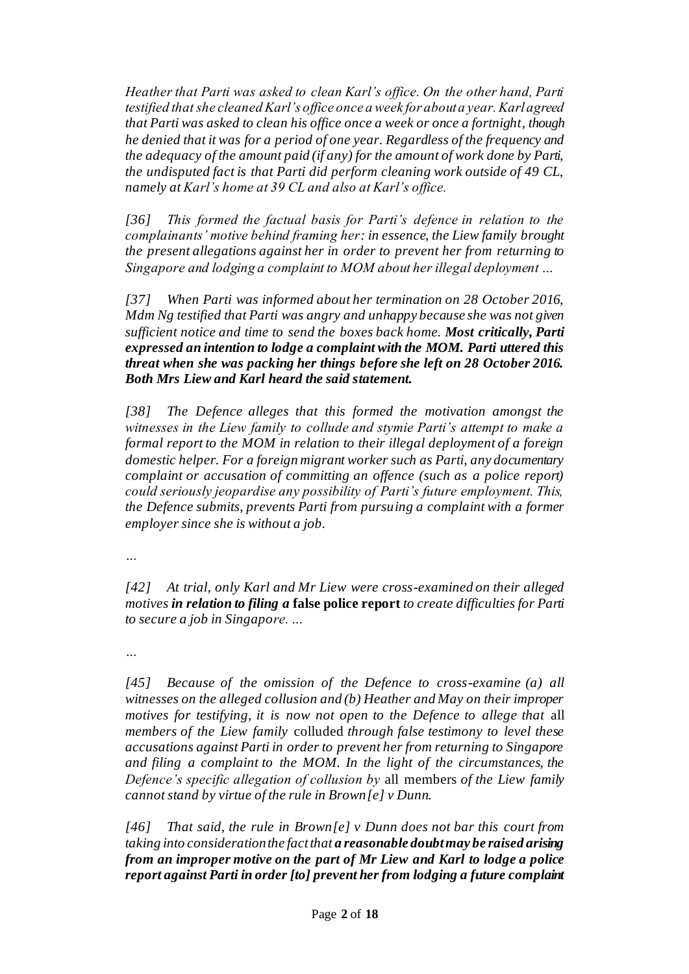*Heather that Parti was asked to clean Karl's office. On the other hand, Parti testified that she cleaned Karl's office once a week for about a year. Karl agreed that Parti was asked to clean his office once a week or once a fortnight, though he denied that it was for a period of one year. Regardless of the frequency and the adequacy of the amount paid (if any) for the amount of work done by Parti, the undisputed fact is that Parti did perform cleaning work outside of 49 CL, namely at Karl's home at 39 CL and also at Karl's office.*

*[36] This formed the factual basis for Parti's defence in relation to the complainants' motive behind framing her: in essence, the Liew family brought the present allegations against her in order to prevent her from returning to Singapore and lodging a complaint to MOM about her illegal deployment …*

*[37] When Parti was informed about her termination on 28 October 2016, Mdm Ng testified that Parti was angry and unhappy because she was not given sufficient notice and time to send the boxes back home. Most critically, Parti expressed an intention to lodge a complaint with the MOM. Parti uttered this threat when she was packing her things before she left on 28 October 2016. Both Mrs Liew and Karl heard the said statement.*

*[38] The Defence alleges that this formed the motivation amongst the witnesses in the Liew family to collude and stymie Parti's attempt to make a formal report to the MOM in relation to their illegal deployment of a foreign domestic helper. For a foreign migrant worker such as Parti, any documentary complaint or accusation of committing an offence (such as a police report) could seriously jeopardise any possibility of Parti's future employment. This, the Defence submits, prevents Parti from pursuing a complaint with a former employer since she is without a job.*

*…*

*[42] At trial, only Karl and Mr Liew were cross-examined on their alleged motives in relation to filing a* **false police report** *to create difficulties for Parti to secure a job in Singapore. …*

*…*

*[45] Because of the omission of the Defence to cross-examine (a) all witnesses on the alleged collusion and (b) Heather and May on their improper motives for testifying, it is now not open to the Defence to allege that* all *members of the Liew family* colluded *through false testimony to level these accusations against Parti in order to prevent her from returning to Singapore and filing a complaint to the MOM. In the light of the circumstances, the Defence's specific allegation of collusion by* all members *of the Liew family cannot stand by virtue of the rule in Brown[e] v Dunn.*

*[46] That said, the rule in Brown[e] v Dunn does not bar this court from taking into consideration the fact that a reasonable doubt may be raised arising from an improper motive on the part of Mr Liew and Karl to lodge a police report against Parti in order [to] prevent her from lodging a future complaint*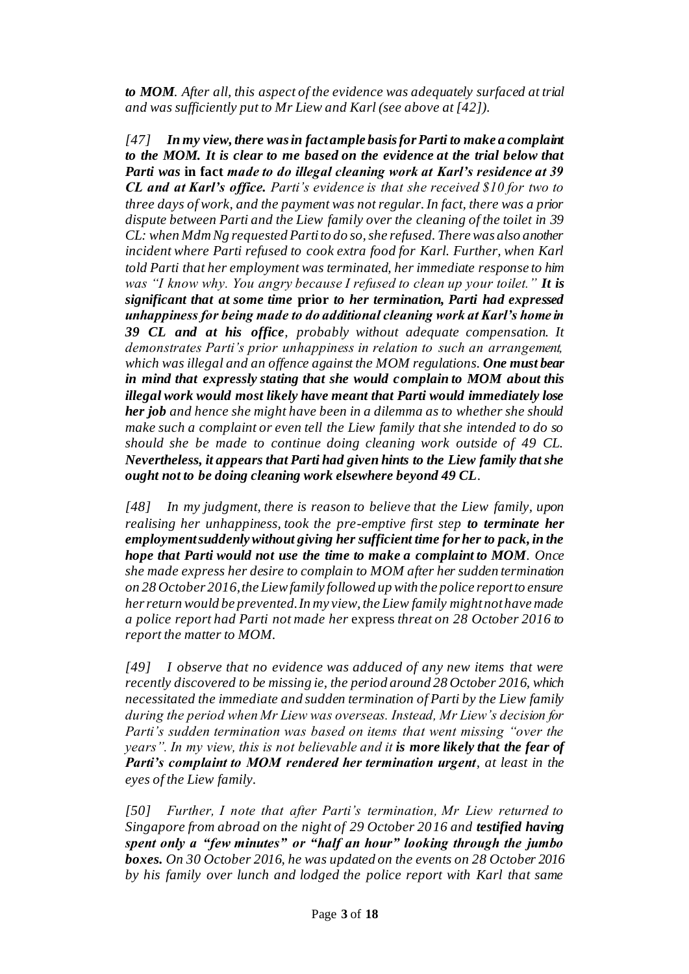*to MOM. After all, this aspect of the evidence was adequately surfaced at trial and was sufficiently put to Mr Liew and Karl (see above at [42]).*

*[47] In my view, there was in fact ample basis for Parti to make a complaint to the MOM. It is clear to me based on the evidence at the trial below that Parti was* **in fact** *made to do illegal cleaning work at Karl's residence at 39 CL and at Karl's office. Parti's evidence is that she received \$10 for two to three days of work, and the payment was not regular. In fact, there was a prior dispute between Parti and the Liew family over the cleaning of the toilet in 39 CL: when Mdm Ng requested Parti to do so, she refused. There was also another incident where Parti refused to cook extra food for Karl. Further, when Karl told Parti that her employment was terminated, her immediate response to him was "I know why. You angry because I refused to clean up your toilet." It is significant that at some time* **prior** *to her termination, Parti had expressed unhappiness for being made to do additional cleaning work at Karl's home in 39 CL and at his office, probably without adequate compensation. It demonstrates Parti's prior unhappiness in relation to such an arrangement, which was illegal and an offence against the MOM regulations. One must bear in mind that expressly stating that she would complain to MOM about this illegal work would most likely have meant that Parti would immediately lose her job and hence she might have been in a dilemma as to whether she should make such a complaint or even tell the Liew family that she intended to do so should she be made to continue doing cleaning work outside of 49 CL. Nevertheless, it appears that Parti had given hints to the Liew family that she ought not to be doing cleaning work elsewhere beyond 49 CL.*

*[48] In my judgment, there is reason to believe that the Liew family, upon realising her unhappiness, took the pre-emptive first step to terminate her employment suddenly without giving her sufficient time for her to pack, in the hope that Parti would not use the time to make a complaint to MOM. Once she made express her desire to complain to MOM after her sudden termination on 28 October 2016, the Liew family followed up with the police report to ensure her return would be prevented. In my view, the Liew family might not have made a police report had Parti not made her* express *threat on 28 October 2016 to report the matter to MOM.*

*[49] I observe that no evidence was adduced of any new items that were recently discovered to be missing ie, the period around 28 October 2016, which necessitated the immediate and sudden termination of Parti by the Liew family during the period when Mr Liew was overseas. Instead, Mr Liew's decision for Parti's sudden termination was based on items that went missing "over the years". In my view, this is not believable and it is more likely that the fear of Parti's complaint to MOM rendered her termination urgent, at least in the eyes of the Liew family.*

*[50] Further, I note that after Parti's termination, Mr Liew returned to Singapore from abroad on the night of 29 October 2016 and testified having spent only a "few minutes" or "half an hour" looking through the jumbo boxes. On 30 October 2016, he was updated on the events on 28 October 2016 by his family over lunch and lodged the police report with Karl that same*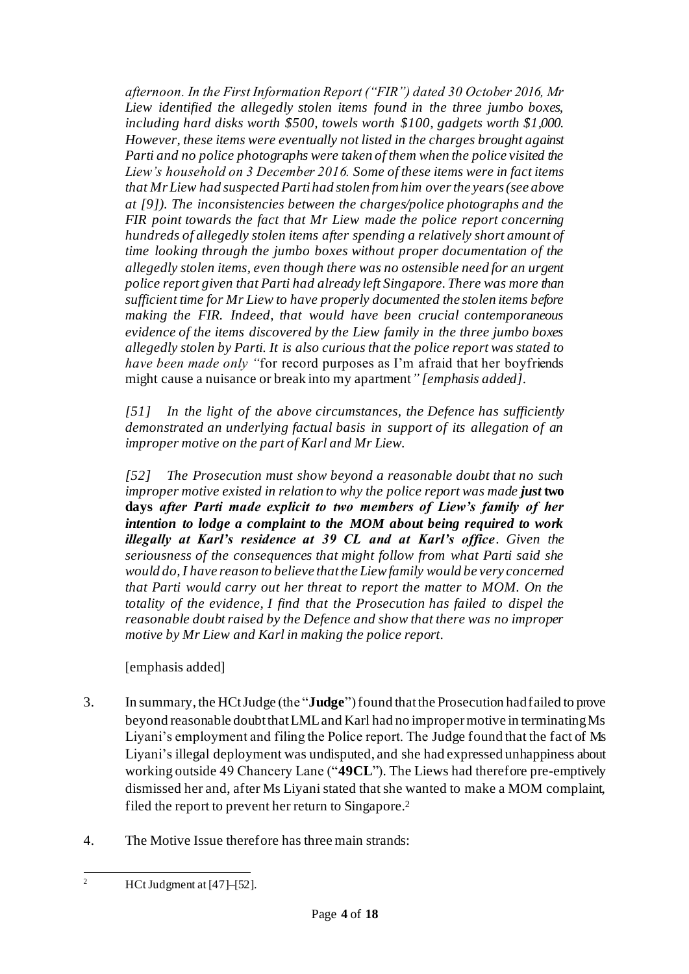*afternoon. In the First Information Report ("FIR") dated 30 October 2016, Mr Liew identified the allegedly stolen items found in the three jumbo boxes, including hard disks worth \$500, towels worth \$100, gadgets worth \$1,000. However, these items were eventually not listed in the charges brought against Parti and no police photographs were taken of them when the police visited the Liew's household on 3 December 2016. Some of these items were in fact items that Mr Liew had suspected Parti had stolen from him over the years (see above at [9]). The inconsistencies between the charges/police photographs and the FIR point towards the fact that Mr Liew made the police report concerning hundreds of allegedly stolen items after spending a relatively short amount of time looking through the jumbo boxes without proper documentation of the allegedly stolen items, even though there was no ostensible need for an urgent police report given that Parti had already left Singapore. There was more than sufficient time for Mr Liew to have properly documented the stolen items before making the FIR. Indeed, that would have been crucial contemporaneous evidence of the items discovered by the Liew family in the three jumbo boxes allegedly stolen by Parti. It is also curious that the police report was stated to have been made only "*for record purposes as I'm afraid that her boyfriends might cause a nuisance or break into my apartment*" [emphasis added].*

*[51] In the light of the above circumstances, the Defence has sufficiently demonstrated an underlying factual basis in support of its allegation of an improper motive on the part of Karl and Mr Liew.*

*[52] The Prosecution must show beyond a reasonable doubt that no such improper motive existed in relation to why the police report was made just* **two days** *after Parti made explicit to two members of Liew's family of her intention to lodge a complaint to the MOM about being required to work illegally at Karl's residence at 39 CL and at Karl's office. Given the seriousness of the consequences that might follow from what Parti said she would do, I have reason to believe that the Liew family would be very concerned that Parti would carry out her threat to report the matter to MOM. On the totality of the evidence, I find that the Prosecution has failed to dispel the reasonable doubt raised by the Defence and show that there was no improper motive by Mr Liew and Karl in making the police report.*

[emphasis added]

- 3. In summary, the HCt Judge (the "**Judge**")found thatthe Prosecution had failed to prove beyond reasonable doubt that LML and Karl had no improper motive in terminating Ms Liyani's employment and filing the Police report. The Judge found that the fact of Ms Liyani's illegal deployment was undisputed, and she had expressed unhappiness about working outside 49 Chancery Lane ("**49CL**"). The Liews had therefore pre-emptively dismissed her and, after Ms Liyani stated that she wanted to make a MOM complaint, filed the report to prevent her return to Singapore.<sup>2</sup>
- 4. The Motive Issue therefore has three main strands:

<sup>&</sup>lt;sup>2</sup> HCt Judgment at  $[47]$ – $[52]$ .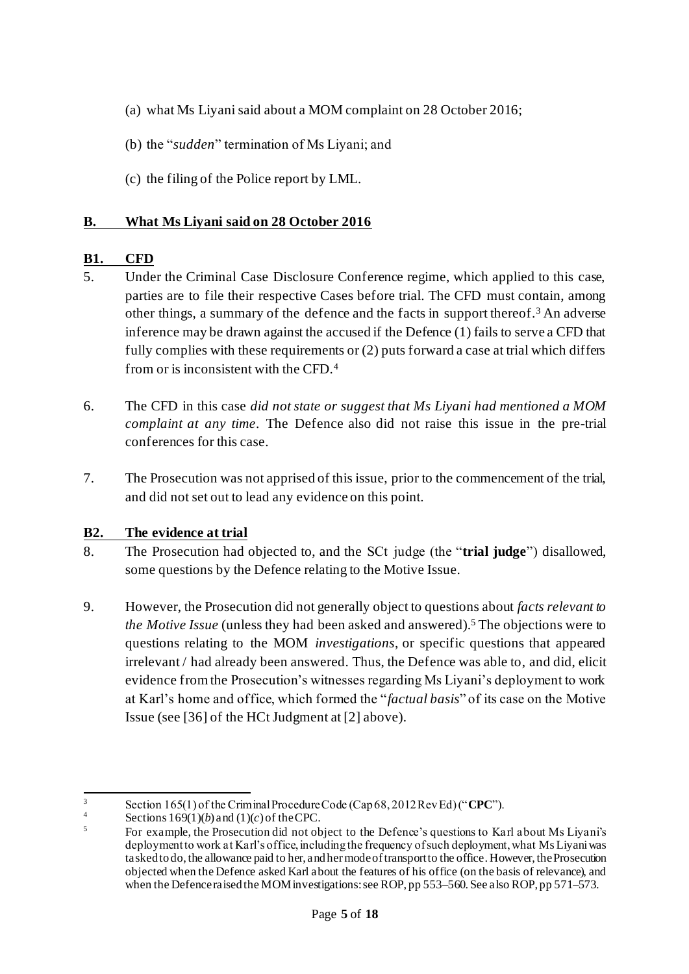- (a) what Ms Liyani said about a MOM complaint on 28 October 2016;
- (b) the "*sudden*" termination of Ms Liyani; and
- (c) the filing of the Police report by LML.

#### **B. What Ms Liyani said on 28 October 2016**

#### **B1. CFD**

- 5. Under the Criminal Case Disclosure Conference regime, which applied to this case, parties are to file their respective Cases before trial. The CFD must contain, among other things, a summary of the defence and the facts in support thereof.<sup>3</sup> An adverse inference may be drawn against the accused if the Defence (1) fails to serve a CFD that fully complies with these requirements or (2) puts forward a case at trial which differs from or is inconsistent with the CFD.<sup>4</sup>
- <span id="page-4-0"></span>6. The CFD in this case *did not state or suggest that Ms Liyani had mentioned a MOM complaint at any time*. The Defence also did not raise this issue in the pre-trial conferences for this case.
- <span id="page-4-1"></span>7. The Prosecution was not apprised of this issue, prior to the commencement of the trial, and did not set out to lead any evidence on this point.

### **B2. The evidence at trial**

- 8. The Prosecution had objected to, and the SCt judge (the "**trial judge**") disallowed, some questions by the Defence relating to the Motive Issue.
- 9. However, the Prosecution did not generally object to questions about *facts relevant to the Motive Issue* (unless they had been asked and answered).<sup>5</sup> The objections were to questions relating to the MOM *investigations*, or specific questions that appeared irrelevant / had already been answered. Thus, the Defence was able to, and did, elicit evidence from the Prosecution's witnesses regarding Ms Liyani's deployment to work at Karl's home and office, which formed the "*factual basis*" of its case on the Motive Issue (see [36] of the HCtJudgment at [\[2\]](#page-0-0) above).

 $3$  Section 165(1) of the Criminal Procedure Code (Cap 68, 2012 Rev Ed) ("**CPC**").

 $\frac{4}{5}$  Sections 169(1)(*b*) and (1)(*c*) of the CPC.

<sup>5</sup> For example, the Prosecution did not object to the Defence's questions to Karl about Ms Liyani's deployment to work at Karl's office, including the frequency of such deployment, what Ms Liyani was tasked to do, the allowance paid to her, and her mode of transport to the office. However, the Prosecution objected when the Defence asked Karl about the features of his office (on the basis of relevance), and when the Defence raised the MOM investigations: see ROP, pp 553–560. See also ROP, pp 571–573.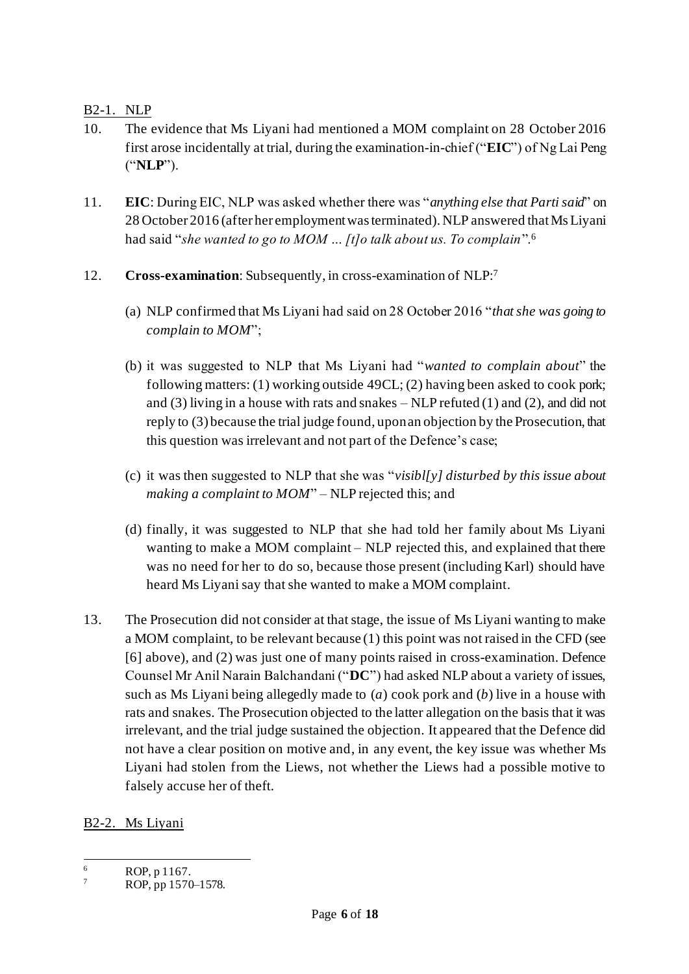B2-1. NLP

- 10. The evidence that Ms Liyani had mentioned a MOM complaint on 28 October 2016 first arose incidentally at trial, during the examination-in-chief ("**EIC**") of Ng Lai Peng ("**NLP**").
- 11. **EIC**: During EIC, NLP was asked whether there was "*anything else that Parti said*" on 28 October 2016 (after her employment was terminated). NLP answered that Ms Liyani had said "*she wanted to go to MOM … [t]o talk about us. To complain*".<sup>6</sup>
- <span id="page-5-1"></span>12. **Cross-examination**: Subsequently, in cross-examination of NLP: 7
	- (a) NLP confirmed that Ms Liyani had said on 28 October 2016 "*that she was going to complain to MOM*";
	- (b) it was suggested to NLP that Ms Liyani had "*wanted to complain about*" the following matters: (1) working outside 49CL; (2) having been asked to cook pork; and  $(3)$  living in a house with rats and snakes – NLP refuted  $(1)$  and  $(2)$ , and did not reply to (3) because the trial judge found, upon an objection by the Prosecution, that this question was irrelevant and not part of the Defence's case;
	- (c) it was then suggested to NLP that she was "*visibl[y] disturbed by this issue about making a complaint to MOM*" – NLP rejected this; and
	- (d) finally, it was suggested to NLP that she had told her family about Ms Liyani wanting to make a MOM complaint – NLP rejected this, and explained that there was no need for her to do so, because those present (including Karl) should have heard Ms Liyani say that she wanted to make a MOM complaint.
- <span id="page-5-0"></span>13. The Prosecution did not consider at that stage, the issue of Ms Liyani wanting to make a MOM complaint, to be relevant because (1) this point was not raised in the CFD (see [\[6\]](#page-4-0) above), and (2) was just one of many points raised in cross-examination. Defence Counsel Mr Anil Narain Balchandani ("**DC**") had asked NLP about a variety of issues, such as Ms Liyani being allegedly made to (*a*) cook pork and (*b*) live in a house with rats and snakes. The Prosecution objected to the latter allegation on the basis that it was irrelevant, and the trial judge sustained the objection. It appeared that the Defence did not have a clear position on motive and, in any event, the key issue was whether Ms Liyani had stolen from the Liews, not whether the Liews had a possible motive to falsely accuse her of theft.

B2-2. Ms Liyani

 $\frac{6}{7}$  ROP, p 1167.

ROP, pp 1570–1578.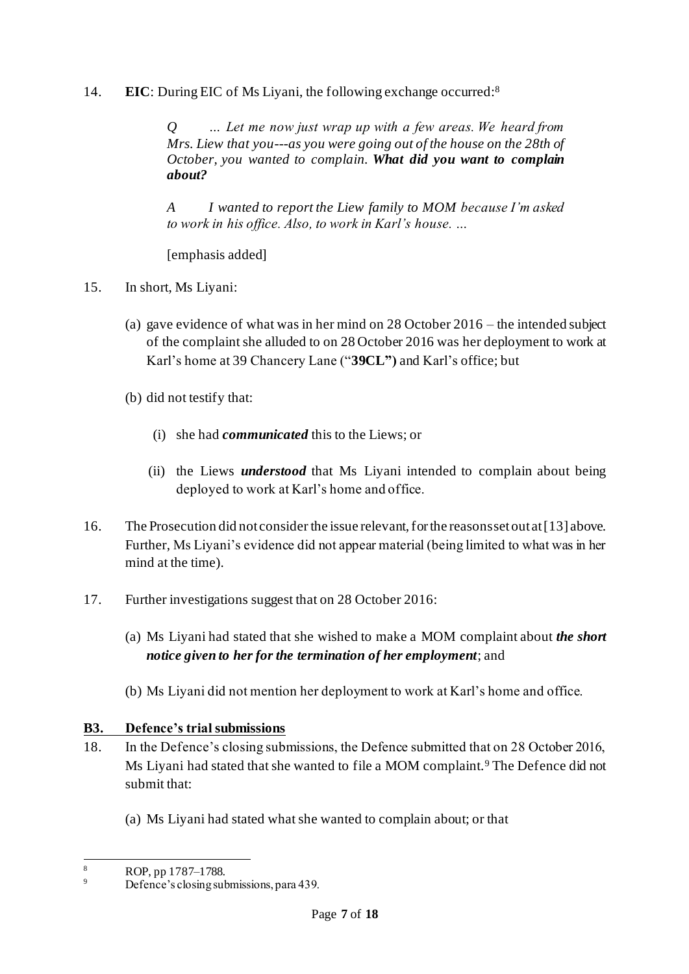14. **EIC**: During EIC of Ms Liyani, the following exchange occurred:<sup>8</sup>

*Q … Let me now just wrap up with a few areas. We heard from Mrs. Liew that you---as you were going out of the house on the 28th of October, you wanted to complain. What did you want to complain about?*

*A I wanted to report the Liew family to MOM because I'm asked to work in his office. Also, to work in Karl's house. …*

[emphasis added]

- <span id="page-6-1"></span>15. In short, Ms Liyani:
	- (a) gave evidence of what was in her mind on 28 October 2016 the intended subject of the complaint she alluded to on 28 October 2016 was her deployment to work at Karl's home at 39 Chancery Lane ("**39CL")** and Karl's office; but
	- (b) did not testify that:
		- (i) she had *communicated* this to the Liews; or
		- (ii) the Liews *understood* that Ms Liyani intended to complain about being deployed to work at Karl's home and office.
- <span id="page-6-0"></span>16. The Prosecution did not consider the issue relevant, for the reasons set out at [\[13\]](#page-5-0) above. Further, Ms Liyani's evidence did not appear material (being limited to what was in her mind at the time).
- <span id="page-6-2"></span>17. Further investigations suggest that on 28 October 2016:
	- (a) Ms Liyani had stated that she wished to make a MOM complaint about *the short notice given to her for the termination of her employment*; and
	- (b) Ms Liyani did not mention her deployment to work at Karl's home and office.

# **B3. Defence's trial submissions**

- 18. In the Defence's closing submissions, the Defence submitted that on 28 October 2016, Ms Liyani had stated that she wanted to file a MOM complaint.<sup>9</sup> The Defence did not submit that:
	- (a) Ms Liyani had stated what she wanted to complain about; or that

<sup>8</sup> ROP, pp 1787–1788.

Defence's closing submissions, para 439.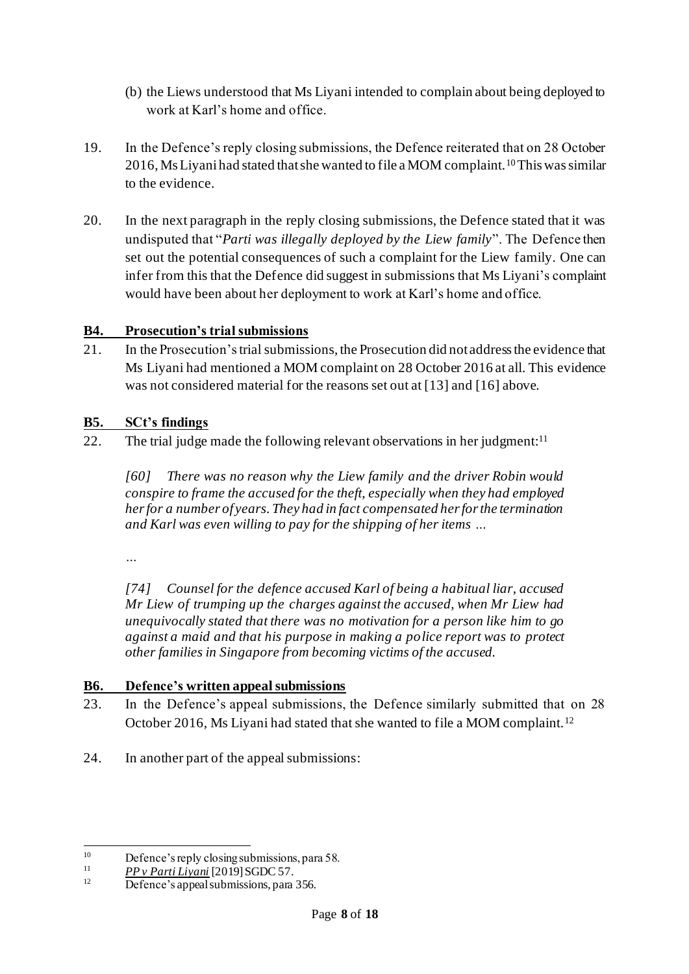- (b) the Liews understood that Ms Liyani intended to complain about being deployed to work at Karl's home and office.
- 19. In the Defence's reply closing submissions, the Defence reiterated that on 28 October 2016, Ms Liyani had stated that she wanted to file a MOM complaint.<sup>10</sup>This was similar to the evidence.
- 20. In the next paragraph in the reply closing submissions, the Defence stated that it was undisputed that "*Parti was illegally deployed by the Liew family*". The Defence then set out the potential consequences of such a complaint for the Liew family. One can infer from this that the Defence did suggest in submissions that Ms Liyani's complaint would have been about her deployment to work at Karl's home and office.

### **B4. Prosecution's trial submissions**

21. In the Prosecution's trial submissions, the Prosecution did not address the evidence that Ms Liyani had mentioned a MOM complaint on 28 October 2016 at all. This evidence was not considered material for the reasons set out at [\[13\]](#page-5-0) and [\[16](#page-6-0)] above.

#### **B5. SCt's findings**

22. The trial judge made the following relevant observations in her judgment:<sup>11</sup>

*[60] There was no reason why the Liew family and the driver Robin would conspire to frame the accused for the theft, especially when they had employed her for a number of years. They had in fact compensated her for the termination and Karl was even willing to pay for the shipping of her items …*

*…*

*[74] Counsel for the defence accused Karl of being a habitual liar, accused Mr Liew of trumping up the charges against the accused, when Mr Liew had unequivocally stated that there was no motivation for a person like him to go against a maid and that his purpose in making a police report was to protect other families in Singapore from becoming victims of the accused.*

#### **B6. Defence's written appeal submissions**

- 23. In the Defence's appeal submissions, the Defence similarly submitted that on 28 October 2016, Ms Liyani had stated that she wanted to file a MOM complaint.<sup>12</sup>
- 24. In another part of the appeal submissions:

<sup>&</sup>lt;sup>10</sup> Defence's reply closing submissions, para 58.<br>  $\frac{11}{2}$   $\frac{BD_{11}B_{21}u_{11}!J_{12}u_{11}!D_{11}!D_{11}!D_{11}!D_{11}!D_{11}!D_{11}!D_{11}!D_{11}!D_{11}!D_{11}!D_{11}!D_{11}!D_{11}!D_{11}!D_{11}!D_{11}!D_{11}!D_{11}!D_{11}!D_{11}!D_{11}!D$ 

 $\frac{11}{12}$  *PP v Parti Liyani* [2019] SGDC 57.

Defence's appeal submissions, para 356.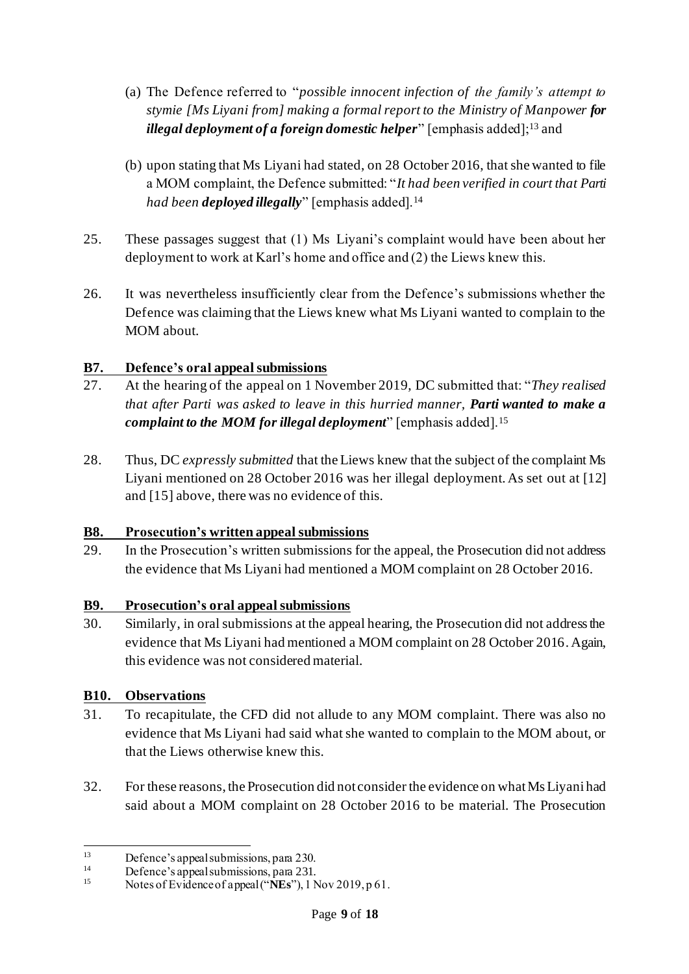- (a) The Defence referred to "*possible innocent infection of the family's attempt to stymie [Ms Liyani from] making a formal report to the Ministry of Manpower for illegal deployment of a foreign domestic helper*" [emphasis added];<sup>13</sup> and
- (b) upon stating that Ms Liyani had stated, on 28 October 2016, that she wanted to file a MOM complaint, the Defence submitted: "*It had been verified in court that Parti had been deployed illegally*" [emphasis added].<sup>14</sup>
- 25. These passages suggest that (1) Ms Liyani's complaint would have been about her deployment to work at Karl's home and office and (2) the Liews knew this.
- 26. It was nevertheless insufficiently clear from the Defence's submissions whether the Defence was claiming that the Liews knew what Ms Liyani wanted to complain to the MOM about.

# **B7. Defence's oral appeal submissions**

- <span id="page-8-0"></span>27. At the hearing of the appeal on 1 November 2019, DC submitted that: "*They realised that after Parti was asked to leave in this hurried manner, Parti wanted to make a complaint to the MOM for illegal deployment*" [emphasis added].<sup>15</sup>
- 28. Thus, DC *expressly submitted* that the Liews knew that the subject of the complaint Ms Liyani mentioned on 28 October 2016 was her illegal deployment. As set out at [\[12\]](#page-5-1) and [\[15\]](#page-6-1) above, there was no evidence of this.

### **B8. Prosecution's written appeal submissions**

29. In the Prosecution's written submissions for the appeal, the Prosecution did not address the evidence that Ms Liyani had mentioned a MOM complaint on 28 October 2016.

### **B9. Prosecution's oral appeal submissions**

30. Similarly, in oral submissions at the appeal hearing, the Prosecution did not address the evidence that Ms Liyani had mentioned a MOM complaint on 28 October 2016. Again, this evidence was not considered material.

# **B10. Observations**

- <span id="page-8-1"></span>31. To recapitulate, the CFD did not allude to any MOM complaint. There was also no evidence that Ms Liyani had said what she wanted to complain to the MOM about, or that the Liews otherwise knew this.
- <span id="page-8-2"></span>32. For these reasons, the Prosecution did not consider the evidence on what Ms Liyani had said about a MOM complaint on 28 October 2016 to be material. The Prosecution

<sup>&</sup>lt;sup>13</sup> Defence's appeal submissions, para 230.

<sup>&</sup>lt;sup>14</sup> Defence's appeal submissions, para 231.

Notes of Evidence of appeal ("NEs"), 1 Nov 2019, p 61.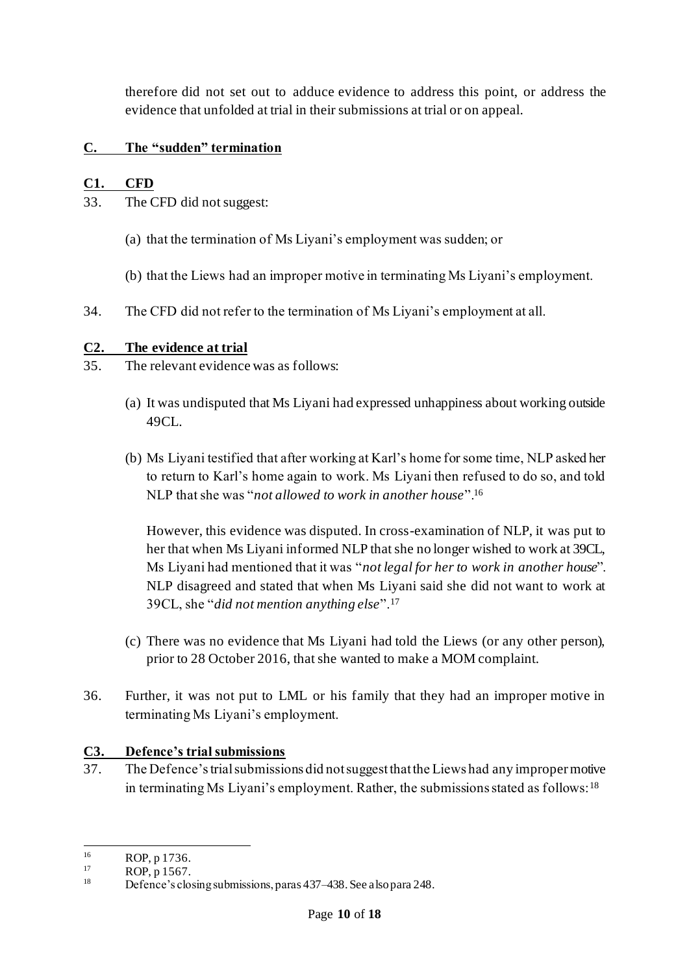therefore did not set out to adduce evidence to address this point, or address the evidence that unfolded at trial in their submissions at trial or on appeal.

## **C. The "sudden" termination**

## **C1. CFD**

<span id="page-9-0"></span>33. The CFD did not suggest:

- (a) that the termination of Ms Liyani's employment was sudden; or
- (b) that the Liews had an improper motive in terminating Ms Liyani's employment.
- 34. The CFD did not refer to the termination of Ms Liyani's employment at all.

### **C2. The evidence at trial**

- 35. The relevant evidence was as follows:
	- (a) It was undisputed that Ms Liyani had expressed unhappiness about working outside 49CL.
	- (b) Ms Liyani testified that after working at Karl's home for some time, NLP asked her to return to Karl's home again to work. Ms Liyani then refused to do so, and told NLP that she was "*not allowed to work in another house*".<sup>16</sup>

However, this evidence was disputed. In cross-examination of NLP, it was put to her that when Ms Liyani informed NLP that she no longer wished to work at 39CL, Ms Liyani had mentioned that it was "*not legal for her to work in another house*". NLP disagreed and stated that when Ms Liyani said she did not want to work at 39CL, she "*did not mention anything else*".<sup>17</sup>

- (c) There was no evidence that Ms Liyani had told the Liews (or any other person), prior to 28 October 2016, that she wanted to make a MOM complaint.
- 36. Further, it was not put to LML or his family that they had an improper motive in terminating Ms Liyani's employment.

### **C3. Defence's trial submissions**

37. The Defence's trial submissions did not suggest that the Liews had any improper motive in terminating Ms Liyani's employment. Rather, the submissions stated as follows:<sup>18</sup>

 $^{16}$  ROP, p 1736.

 $^{17}$  ROP, p 1567.

Defence's closing submissions, paras 437–438. See also para 248.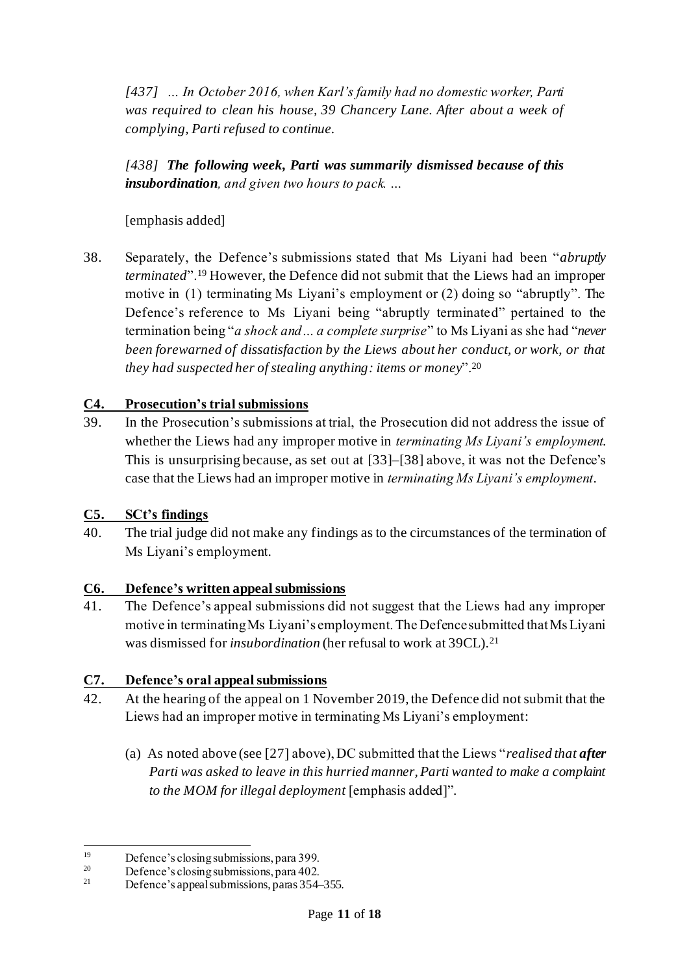*[437] … In October 2016, when Karl's family had no domestic worker, Parti was required to clean his house, 39 Chancery Lane. After about a week of complying, Parti refused to continue.*

*[438] The following week, Parti was summarily dismissed because of this insubordination, and given two hours to pack. …*

### [emphasis added]

<span id="page-10-0"></span>38. Separately, the Defence's submissions stated that Ms Liyani had been "*abruptly terminated*".<sup>19</sup> However, the Defence did not submit that the Liews had an improper motive in (1) terminating Ms Liyani's employment or (2) doing so "abruptly". The Defence's reference to Ms Liyani being "abruptly terminated" pertained to the termination being "*a shock and… a complete surprise*" to Ms Liyani as she had "*never been forewarned of dissatisfaction by the Liews about her conduct, or work, or that they had suspected her of stealing anything: items or money*".<sup>20</sup>

### **C4. Prosecution's trial submissions**

39. In the Prosecution's submissions at trial, the Prosecution did not address the issue of whether the Liews had any improper motive in *terminating Ms Liyani's employment*. This is unsurprising because, as set out at [\[33\]](#page-9-0)–[\[38](#page-10-0)] above, it was not the Defence's case that the Liews had an improper motive in *terminating Ms Liyani's employment*.

### **C5. SCt's findings**

40. The trial judge did not make any findings as to the circumstances of the termination of Ms Liyani's employment.

### **C6. Defence's written appeal submissions**

41. The Defence's appeal submissions did not suggest that the Liews had any improper motive in terminating Ms Liyani's employment. The Defence submitted that Ms Liyani was dismissed for *insubordination* (her refusal to work at 39CL).<sup>21</sup>

### **C7. Defence's oral appeal submissions**

- 42. At the hearing of the appeal on 1 November 2019, the Defence did not submit that the Liews had an improper motive in terminating Ms Liyani's employment:
	- (a) As noted above (see [\[27\]](#page-8-0) above), DC submitted that the Liews "*realised that after Parti was asked to leave in this hurried manner, Parti wanted to make a complaint to the MOM for illegal deployment* [emphasis added]".

<sup>&</sup>lt;sup>19</sup> Defence's closing submissions, para 399.

<sup>&</sup>lt;sup>20</sup> Defence's closing submissions, para 402.

Defence's appeal submissions, paras 354–355.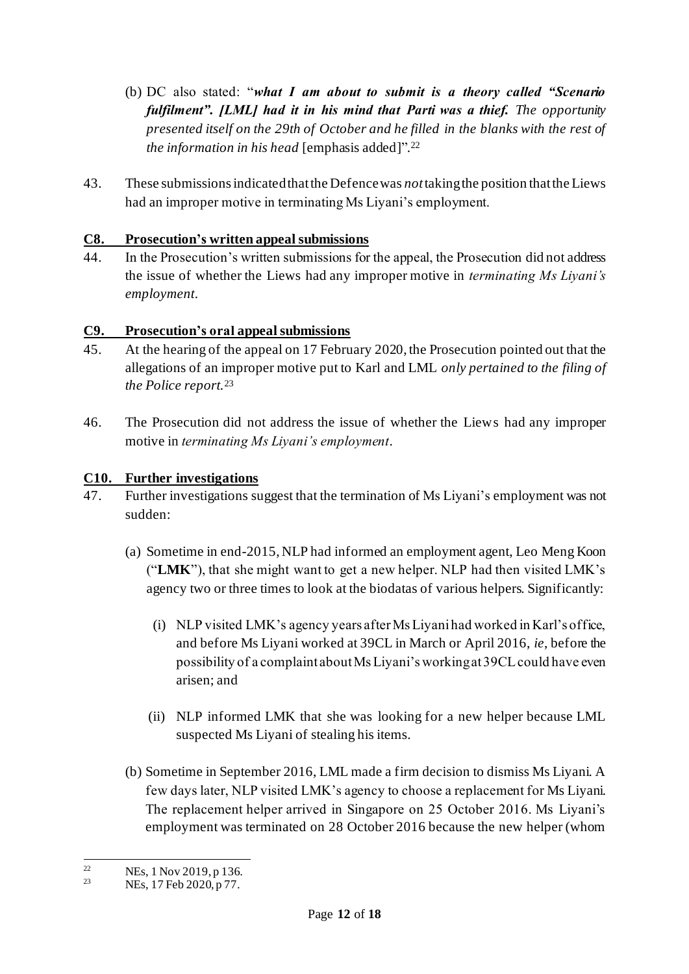- (b) DC also stated: "*what I am about to submit is a theory called "Scenario fulfilment". [LML] had it in his mind that Parti was a thief. The opportunity presented itself on the 29th of October and he filled in the blanks with the rest of the information in his head* [emphasis added]". 22
- 43. These submissions indicatedthat the Defence was *not*taking the position that the Liews had an improper motive in terminating Ms Liyani's employment.

## **C8. Prosecution's written appeal submissions**

44. In the Prosecution's written submissions for the appeal, the Prosecution did not address the issue of whether the Liews had any improper motive in *terminating Ms Liyani's employment*.

## **C9. Prosecution's oral appeal submissions**

- 45. At the hearing of the appeal on 17 February 2020, the Prosecution pointed out that the allegations of an improper motive put to Karl and LML *only pertained to the filing of the Police report.*<sup>23</sup>
- 46. The Prosecution did not address the issue of whether the Liews had any improper motive in *terminating Ms Liyani's employment*.

## **C10. Further investigations**

- <span id="page-11-0"></span>47. Further investigations suggest that the termination of Ms Liyani's employment was not sudden:
	- (a) Sometime in end-2015, NLP had informed an employment agent, Leo Meng Koon ("**LMK**"), that she might want to get a new helper. NLP had then visited LMK's agency two or three times to look at the biodatas of various helpers. Significantly:
		- (i) NLP visited LMK's agency years after Ms Liyani had worked in Karl's office, and before Ms Liyani worked at 39CL in March or April 2016, *ie*, before the possibility of a complaint about Ms Liyani's working at 39CL could have even arisen; and
		- (ii) NLP informed LMK that she was looking for a new helper because LML suspected Ms Liyani of stealing his items.
	- (b) Sometime in September 2016, LML made a firm decision to dismiss Ms Liyani. A few days later, NLP visited LMK's agency to choose a replacement for Ms Liyani. The replacement helper arrived in Singapore on 25 October 2016. Ms Liyani's employment was terminated on 28 October 2016 because the new helper (whom

<sup>&</sup>lt;sup>22</sup> NEs, 1 Nov 2019, p 136.<br><sup>23</sup> NEs, 17 Feb 2020, p 77.

NEs, 17 Feb 2020, p 77.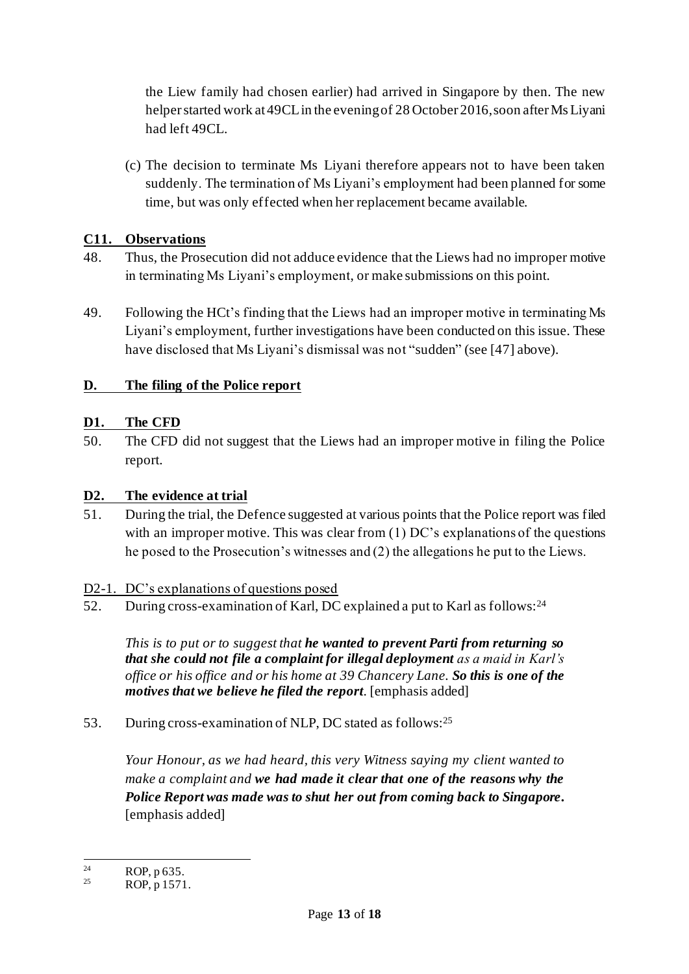the Liew family had chosen earlier) had arrived in Singapore by then. The new helper started work at 49CL in the evening of 28 October 2016, soon after Ms Liyani had left 49CL.

(c) The decision to terminate Ms Liyani therefore appears not to have been taken suddenly. The termination of Ms Liyani's employment had been planned for some time, but was only effected when her replacement became available.

### **C11. Observations**

- 48. Thus, the Prosecution did not adduce evidence that the Liews had no improper motive in terminating Ms Liyani's employment, or make submissions on this point.
- 49. Following the HCt's finding that the Liews had an improper motive in terminating Ms Liyani's employment, further investigations have been conducted on this issue. These have disclosed that Ms Liyani's dismissal was not "sudden" (see [\[47](#page-11-0)] above).

# **D. The filing of the Police report**

## **D1. The CFD**

50. The CFD did not suggest that the Liews had an improper motive in filing the Police report.

# **D2. The evidence at trial**

51. During the trial, the Defence suggested at various points that the Police report was filed with an improper motive. This was clear from (1) DC's explanations of the questions he posed to the Prosecution's witnesses and (2) the allegations he put to the Liews.

### D2-1. DC's explanations of questions posed

52. During cross-examination of Karl, DC explained a put to Karl as follows:<sup>24</sup>

*This is to put or to suggest that he wanted to prevent Parti from returning so that she could not file a complaint for illegal deployment as a maid in Karl's office or his office and or his home at 39 Chancery Lane. So this is one of the motives that we believe he filed the report*. [emphasis added]

53. During cross-examination of NLP, DC stated as follows:<sup>25</sup>

*Your Honour, as we had heard, this very Witness saying my client wanted to make a complaint and we had made it clear that one of the reasons why the Police Report was made was to shut her out from coming back to Singapore***.** [emphasis added]

<sup>&</sup>lt;sup>24</sup> ROP, p 635.

ROP, p 1571.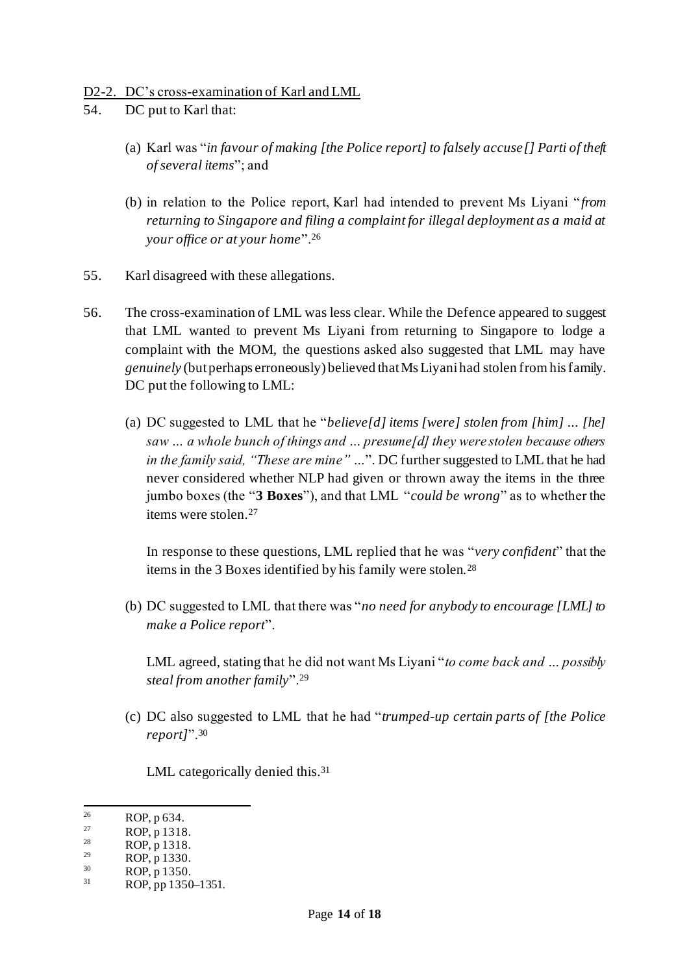#### D2-2. DC's cross-examination of Karl and LML

- 54. DC put to Karl that:
	- (a) Karl was "*in favour of making [the Police report] to falsely accuse[] Parti of theft of several items*"; and
	- (b) in relation to the Police report, Karl had intended to prevent Ms Liyani "*from returning to Singapore and filing a complaint for illegal deployment as a maid at your office or at your home*".<sup>26</sup>
- 55. Karl disagreed with these allegations.
- <span id="page-13-0"></span>56. The cross-examination of LML was less clear. While the Defence appeared to suggest that LML wanted to prevent Ms Liyani from returning to Singapore to lodge a complaint with the MOM, the questions asked also suggested that LML may have *genuinely* (but perhaps erroneously) believed that Ms Liyani had stolen from his family. DC put the following to LML:
	- (a) DC suggested to LML that he "*believe[d] items [were] stolen from [him] ... [he] saw … a whole bunch of things and … presume[d] they were stolen because others in the family said, "These are mine" …*". DC further suggested to LML that he had never considered whether NLP had given or thrown away the items in the three jumbo boxes (the "**3 Boxes**"), and that LML "*could be wrong*" as to whether the items were stolen.<sup>27</sup>

In response to these questions, LML replied that he was "*very confident*" that the items in the 3 Boxes identified by his family were stolen.<sup>28</sup>

(b) DC suggested to LML that there was "*no need for anybody to encourage [LML] to make a Police report*".

LML agreed, stating that he did not want Ms Liyani "*to come back and … possibly steal from another family*".<sup>29</sup>

<span id="page-13-1"></span>(c) DC also suggested to LML that he had "*trumped-up certain parts of [the Police report]*".<sup>30</sup>

LML categorically denied this.<sup>31</sup>

 $^{26}$  ROP, p 634.

 $^{27}$  ROP, p 1318.

 $\frac{28}{29}$  ROP, p 1318.

<sup>&</sup>lt;sup>29</sup> ROP, p 1330.

 $\frac{30}{31}$  ROP, p 1350.

ROP, pp 1350–1351.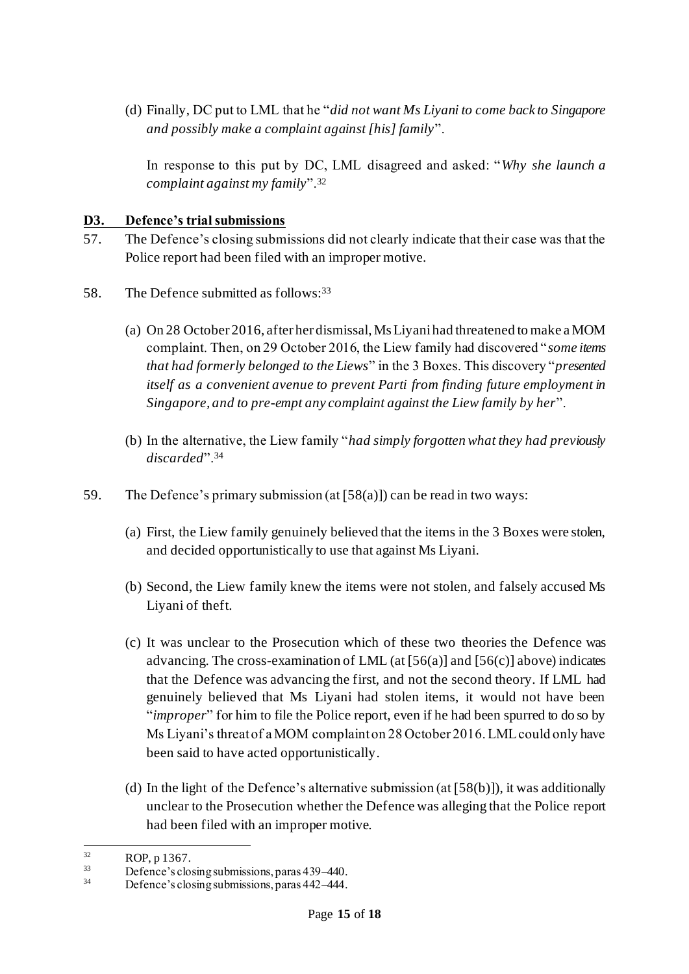(d) Finally, DC put to LML that he "*did not want Ms Liyani to come back to Singapore and possibly make a complaint against [his] family*".

In response to this put by DC, LML disagreed and asked: "*Why she launch a complaint against my family*".<sup>32</sup>

#### **D3. Defence's trial submissions**

- 57. The Defence's closing submissions did not clearly indicate that their case was that the Police report had been filed with an improper motive.
- <span id="page-14-2"></span><span id="page-14-0"></span>58. The Defence submitted as follows:<sup>33</sup>
	- (a) On 28 October 2016, after her dismissal, Ms Liyani had threatened to make a MOM complaint. Then, on 29 October 2016, the Liew family had discovered "*some items that had formerly belonged to the Liews*" in the 3 Boxes. This discovery "*presented itself as a convenient avenue to prevent Parti from finding future employment in Singapore, and to pre-empt any complaint against the Liew family by her*".
	- (b) In the alternative, the Liew family "*had simply forgotten what they had previously discarded*".<sup>34</sup>
- <span id="page-14-3"></span><span id="page-14-1"></span>59. The Defence's primary submission  $(at [58(a)])$  $(at [58(a)])$  $(at [58(a)])$  can be read in two ways:
	- (a) First, the Liew family genuinely believed that the items in the 3 Boxes were stolen, and decided opportunistically to use that against Ms Liyani.
	- (b) Second, the Liew family knew the items were not stolen, and falsely accused Ms Liyani of theft.
	- (c) It was unclear to the Prosecution which of these two theories the Defence was advancing. The cross-examination of LML (at  $[56(a)]$  and  $[56(c)]$  above) indicates that the Defence was advancing the first, and not the second theory. If LML had genuinely believed that Ms Liyani had stolen items, it would not have been "*improper*" for him to file the Police report, even if he had been spurred to do so by Ms Liyani's threat of a MOM complaint on 28 October 2016. LML could only have been said to have acted opportunistically.
	- (d) In the light of the Defence's alternative submission (at  $[58(b)]$ ), it was additionally unclear to the Prosecution whether the Defence was alleging that the Police report had been filed with an improper motive.

 $ROP, p 1367.$ 

 $33$  Defence's closing submissions, paras 439–440.

Defence's closing submissions, paras 442–444.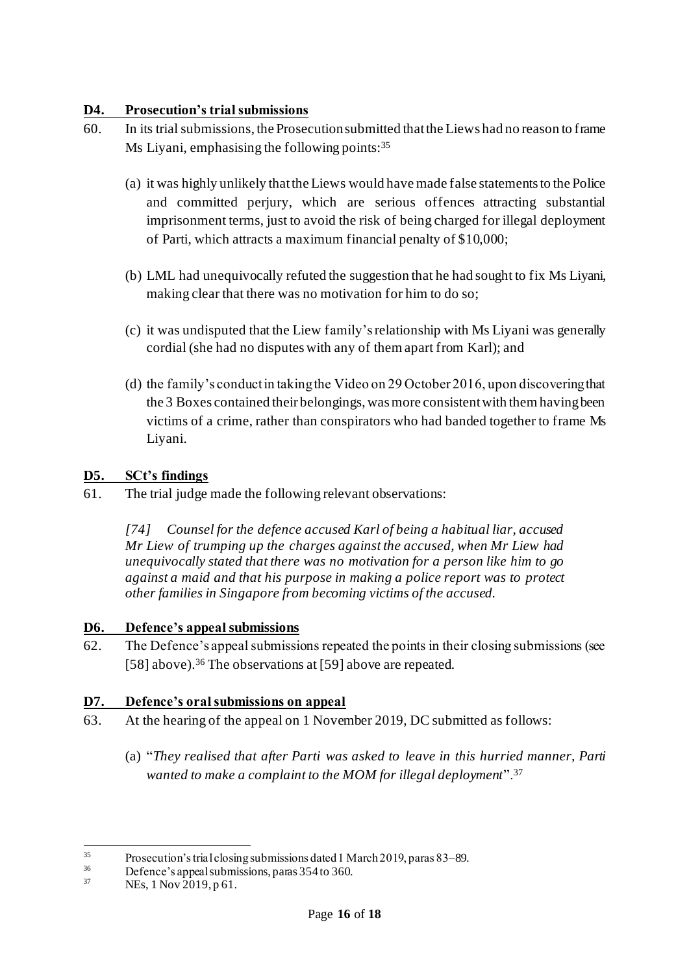#### **D4. Prosecution's trial submissions**

- 60. In its trial submissions, the Prosecution submitted that the Liews had no reason to frame Ms Liyani, emphasising the following points:<sup>35</sup>
	- (a) it was highly unlikely that the Liews would have made false statements to the Police and committed perjury, which are serious offences attracting substantial imprisonment terms, just to avoid the risk of being charged for illegal deployment of Parti, which attracts a maximum financial penalty of \$10,000;
	- (b) LML had unequivocally refuted the suggestion that he had sought to fix Ms Liyani, making clear that there was no motivation for him to do so;
	- (c) it was undisputed that the Liew family's relationship with Ms Liyani was generally cordial (she had no disputes with any of them apart from Karl); and
	- (d) the family's conduct in taking the Video on 29 October 2016, upon discovering that the 3 Boxes contained their belongings, was more consistent with them having been victims of a crime, rather than conspirators who had banded together to frame Ms Liyani.

### **D5. SCt's findings**

61. The trial judge made the following relevant observations:

*[74] Counsel for the defence accused Karl of being a habitual liar, accused Mr Liew of trumping up the charges against the accused, when Mr Liew had unequivocally stated that there was no motivation for a person like him to go against a maid and that his purpose in making a police report was to protect other families in Singapore from becoming victims of the accused.*

### **D6. Defence's appeal submissions**

62. The Defence's appeal submissions repeated the points in their closing submissions (see [\[58\]](#page-14-2) above).<sup>36</sup> The observations at [\[59](#page-14-3)] above are repeated.

### **D7. Defence's oral submissions on appeal**

- 63. At the hearing of the appeal on 1 November 2019, DC submitted as follows:
	- (a) "*They realised that after Parti was asked to leave in this hurried manner, Parti wanted to make a complaint to the MOM for illegal deployment*".<sup>37</sup>

<sup>&</sup>lt;sup>35</sup> Prosecution's trial closing submissions dated 1 March 2019, paras 83–89.

<sup>&</sup>lt;sup>36</sup> Defence's appeal submissions, paras 354 to 360.

NEs, 1 Nov 2019, p 61.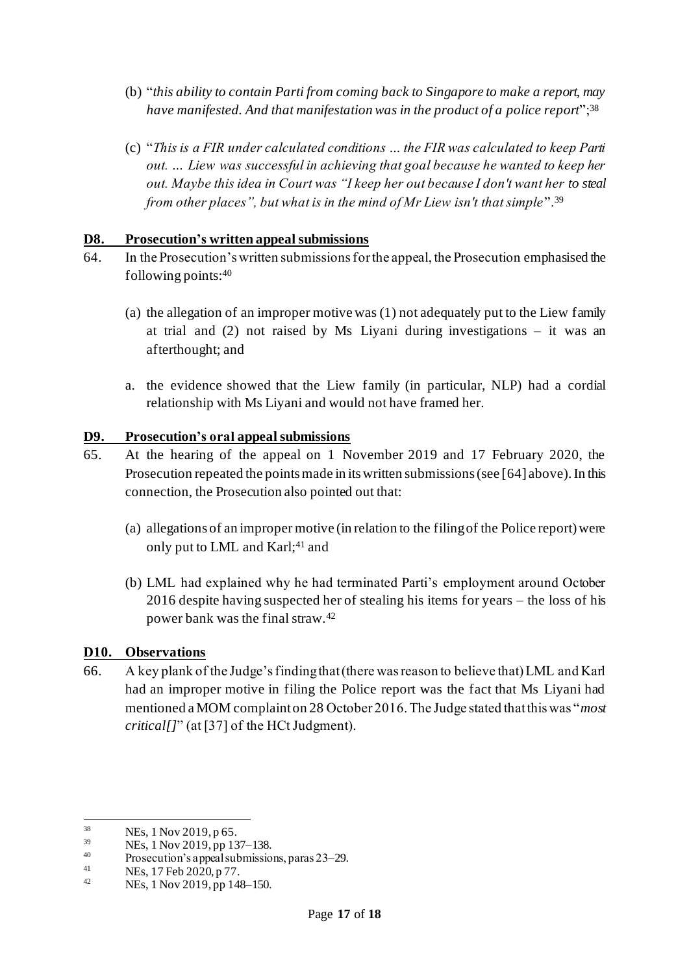- (b) "*this ability to contain Parti from coming back to Singapore to make a report, may have manifested. And that manifestation was in the product of a police report*";<sup>38</sup>
- (c) "*This is a FIR under calculated conditions … the FIR was calculated to keep Parti out. … Liew was successful in achieving that goal because he wanted to keep her out. Maybe this idea in Court was "I keep her out because I don't want her to steal from other places", but what is in the mind of Mr Liew isn't that simple*".<sup>39</sup>

#### **D8. Prosecution's written appeal submissions**

- <span id="page-16-0"></span>64. In the Prosecution's written submissions for the appeal, the Prosecution emphasised the following points:<sup>40</sup>
	- (a) the allegation of an improper motive was (1) not adequately put to the Liew family at trial and (2) not raised by Ms Liyani during investigations – it was an afterthought; and
	- a. the evidence showed that the Liew family (in particular, NLP) had a cordial relationship with Ms Liyani and would not have framed her.

#### **D9. Prosecution's oral appeal submissions**

- 65. At the hearing of the appeal on 1 November 2019 and 17 February 2020, the Prosecution repeated the points made in its written submissions (see [\[64](#page-16-0)] above). In this connection, the Prosecution also pointed out that:
	- (a) allegations of an improper motive (in relation to the filing of the Police report) were only put to LML and Karl;<sup>41</sup> and
	- (b) LML had explained why he had terminated Parti's employment around October 2016 despite having suspected her of stealing his items for years – the loss of his power bank was the final straw.<sup>42</sup>

#### **D10. Observations**

66. A key plank of the Judge's finding that (there was reason to believe that) LML and Karl had an improper motive in filing the Police report was the fact that Ms Liyani had mentioned a MOM complaint on 28 October 2016. The Judge stated that this was "*most critical[]*" (at [37] of the HCt Judgment).

 $\frac{38}{39}$  NEs, 1 Nov 2019, p 65.

 $^{39}$  NEs, 1 Nov 2019, pp 137–138.

<sup>&</sup>lt;sup>40</sup> Prosecution's appeal submissions, paras 23–29.

<sup>&</sup>lt;sup>41</sup> NEs, 17 Feb 2020, p 77.

NEs, 1 Nov 2019, pp 148–150.